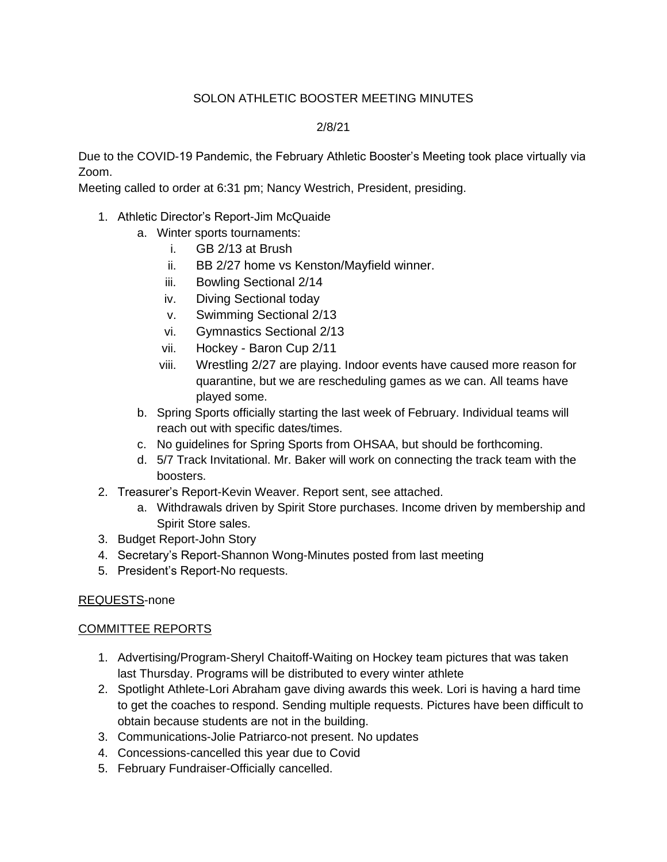## SOLON ATHLETIC BOOSTER MEETING MINUTES

## 2/8/21

Due to the COVID-19 Pandemic, the February Athletic Booster's Meeting took place virtually via Zoom.

Meeting called to order at 6:31 pm; Nancy Westrich, President, presiding.

- 1. Athletic Director's Report-Jim McQuaide
	- a. Winter sports tournaments:
		- i. GB 2/13 at Brush
		- ii. BB 2/27 home vs Kenston/Mayfield winner.
		- iii. Bowling Sectional 2/14
		- iv. Diving Sectional today
		- v. Swimming Sectional 2/13
		- vi. Gymnastics Sectional 2/13
		- vii. Hockey Baron Cup 2/11
		- viii. Wrestling 2/27 are playing. Indoor events have caused more reason for quarantine, but we are rescheduling games as we can. All teams have played some.
	- b. Spring Sports officially starting the last week of February. Individual teams will reach out with specific dates/times.
	- c. No guidelines for Spring Sports from OHSAA, but should be forthcoming.
	- d. 5/7 Track Invitational. Mr. Baker will work on connecting the track team with the boosters.
- 2. Treasurer's Report-Kevin Weaver. Report sent, see attached.
	- a. Withdrawals driven by Spirit Store purchases. Income driven by membership and Spirit Store sales.
- 3. Budget Report-John Story
- 4. Secretary's Report-Shannon Wong-Minutes posted from last meeting
- 5. President's Report-No requests.

## REQUESTS-none

## COMMITTEE REPORTS

- 1. Advertising/Program-Sheryl Chaitoff-Waiting on Hockey team pictures that was taken last Thursday. Programs will be distributed to every winter athlete
- 2. Spotlight Athlete-Lori Abraham gave diving awards this week. Lori is having a hard time to get the coaches to respond. Sending multiple requests. Pictures have been difficult to obtain because students are not in the building.
- 3. Communications-Jolie Patriarco-not present. No updates
- 4. Concessions-cancelled this year due to Covid
- 5. February Fundraiser-Officially cancelled.